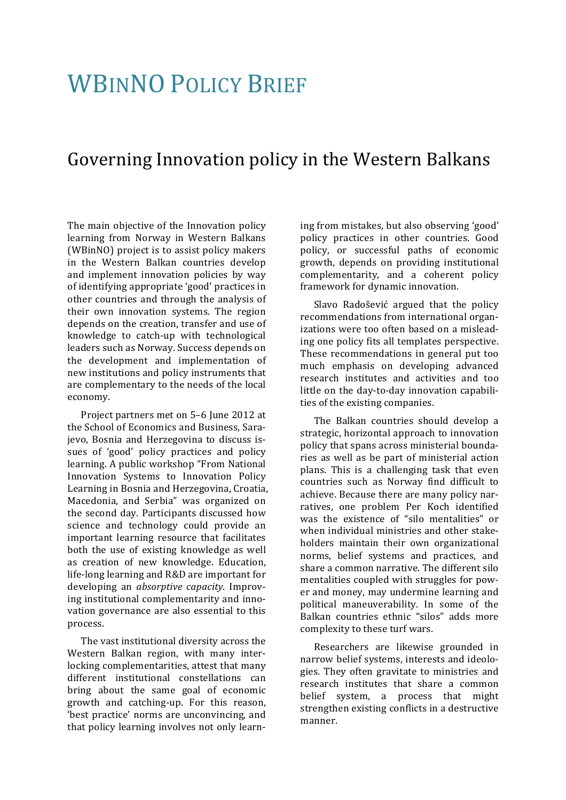## **WBINNO POLICY BRIEF**

## Governing Innovation policy in the Western Balkans

The main objective of the Innovation policy learning from Norway in Western Balkans (WBinNO) project is to assist policy makers in the Western Balkan countries develop and implement innovation policies by way of identifying appropriate 'good' practices in other countries and through the analysis of their own innovation systems. The region depends on the creation, transfer and use of knowledge to catch-up with technological leaders such as Norway. Success depends on the development and implementation of new institutions and policy instruments that are complementary to the needs of the local economy.

Project partners met on 5-6 June 2012 at the School of Economics and Business, Sarajevo, Bosnia and Herzegovina to discuss issues of 'good' policy practices and policy learning. A public workshop "From National Innovation Systems to Innovation Policy Learning in Bosnia and Herzegovina, Croatia, Macedonia, and Serbia" was organized on the second day. Participants discussed how science and technology could provide an important learning resource that facilitates both the use of existing knowledge as well as creation of new knowledge. Education, life-long learning and R&D are important for developing an *absorptive capacity*. Improving institutional complementarity and innovation governance are also essential to this process.

The vast institutional diversity across the Western Balkan region, with many interlocking complementarities, attest that many different institutional constellations can bring about the same goal of economic growth and catching-up. For this reason, 'best practice' norms are unconvincing, and that policy learning involves not only learning from mistakes, but also observing 'good' policy practices in other countries. Good policy, or successful paths of economic growth, depends on providing institutional complementarity, and a coherent policy framework for dynamic innovation.

Slavo Radošević argued that the policy recommendations from international organizations were too often based on a misleading one policy fits all templates perspective. These recommendations in general put too much emphasis on developing advanced research institutes and activities and too little on the day-to-day innovation capabilities of the existing companies.

The Balkan countries should develop a strategic, horizontal approach to innovation policy that spans across ministerial boundaries as well as be part of ministerial action plans. This is a challenging task that even countries such as Norway find difficult to achieve. Because there are many policy narratives, one problem Per Koch identified was the existence of "silo mentalities" or when individual ministries and other stakeholders maintain their own organizational norms, belief systems and practices, and share a common narrative. The different silo mentalities coupled with struggles for power and money, may undermine learning and political maneuverability. In some of the Balkan countries ethnic "silos" adds more complexity to these turf wars.

Researchers are likewise grounded in narrow belief systems, interests and ideologies. They often gravitate to ministries and research institutes that share a common belief system, a process that might strengthen existing conflicts in a destructive manner.